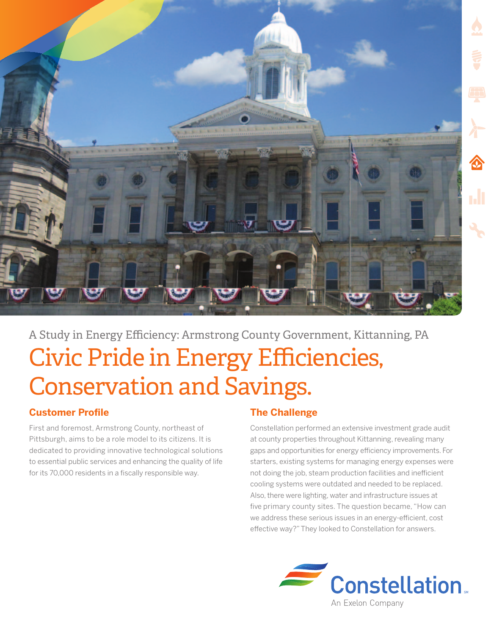

# A Study in Energy Efficiency: Armstrong County Government, Kittanning, PA Civic Pride in Energy Efficiencies, Conservation and Savings.

## **Customer Profile**

First and foremost, Armstrong County, northeast of Pittsburgh, aims to be a role model to its citizens. It is dedicated to providing innovative technological solutions to essential public services and enhancing the quality of life for its 70,000 residents in a fiscally responsible way.

# **The Challenge**

Constellation performed an extensive investment grade audit at county properties throughout Kittanning, revealing many gaps and opportunities for energy efficiency improvements. For starters, existing systems for managing energy expenses were not doing the job, steam production facilities and inefficient cooling systems were outdated and needed to be replaced. Also, there were lighting, water and infrastructure issues at five primary county sites. The question became, "How can we address these serious issues in an energy-efficient, cost effective way?" They looked to Constellation for answers.